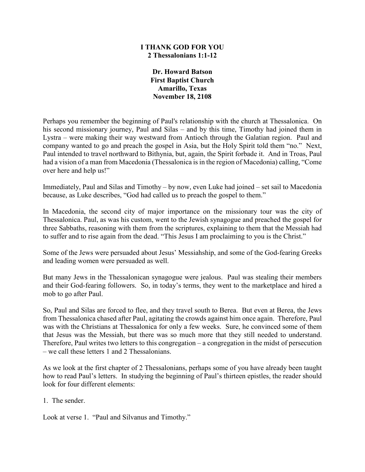#### **I THANK GOD FOR YOU 2 Thessalonians 1:1-12**

**Dr. Howard Batson First Baptist Church Amarillo, Texas November 18, 2108**

Perhaps you remember the beginning of Paul's relationship with the church at Thessalonica. On his second missionary journey, Paul and Silas – and by this time, Timothy had joined them in Lystra – were making their way westward from Antioch through the Galatian region. Paul and company wanted to go and preach the gospel in Asia, but the Holy Spirit told them "no." Next, Paul intended to travel northward to Bithynia, but, again, the Spirit forbade it. And in Troas, Paul had a vision of a man from Macedonia (Thessalonica is in the region of Macedonia) calling, "Come over here and help us!"

Immediately, Paul and Silas and Timothy – by now, even Luke had joined – set sail to Macedonia because, as Luke describes, "God had called us to preach the gospel to them."

In Macedonia, the second city of major importance on the missionary tour was the city of Thessalonica. Paul, as was his custom, went to the Jewish synagogue and preached the gospel for three Sabbaths, reasoning with them from the scriptures, explaining to them that the Messiah had to suffer and to rise again from the dead. "This Jesus I am proclaiming to you is the Christ."

Some of the Jews were persuaded about Jesus' Messiahship, and some of the God-fearing Greeks and leading women were persuaded as well.

But many Jews in the Thessalonican synagogue were jealous. Paul was stealing their members and their God-fearing followers. So, in today's terms, they went to the marketplace and hired a mob to go after Paul.

So, Paul and Silas are forced to flee, and they travel south to Berea. But even at Berea, the Jews from Thessalonica chased after Paul, agitating the crowds against him once again. Therefore, Paul was with the Christians at Thessalonica for only a few weeks. Sure, he convinced some of them that Jesus was the Messiah, but there was so much more that they still needed to understand. Therefore, Paul writes two letters to this congregation – a congregation in the midst of persecution – we call these letters 1 and 2 Thessalonians.

As we look at the first chapter of 2 Thessalonians, perhaps some of you have already been taught how to read Paul's letters. In studying the beginning of Paul's thirteen epistles, the reader should look for four different elements:

1. The sender.

Look at verse 1. "Paul and Silvanus and Timothy."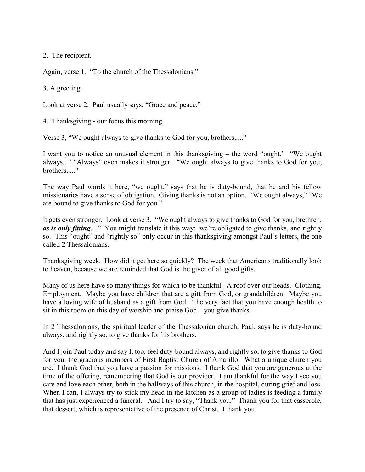2. The recipient.

Again, verse 1. "To the church of the Thessalonians."

3. A greeting.

Look at verse 2. Paul usually says, "Grace and peace."

4. Thanksgiving - our focus this morning

Verse 3, "We ought always to give thanks to God for you, brothers,...."

I want you to notice an unusual element in this thanksgiving – the word "ought." "We ought always..." "Always" even makes it stronger. "We ought always to give thanks to God for you, brothers....."

The way Paul words it here, "we ought," says that he is duty-bound, that he and his fellow missionaries have a sense of obligation. Giving thanks is not an option. "We ought always," "We are bound to give thanks to God for you."

It gets even stronger. Look at verse 3. "We ought always to give thanks to God for you, brethren, *as is only fitting*...." You might translate it this way: we're obligated to give thanks, and rightly so. This "ought" and "rightly so" only occur in this thanksgiving amongst Paul's letters, the one called 2 Thessalonians.

Thanksgiving week. How did it get here so quickly? The week that Americans traditionally look to heaven, because we are reminded that God is the giver of all good gifts.

Many of us here have so many things for which to be thankful. A roof over our heads. Clothing. Employment. Maybe you have children that are a gift from God, or grandchildren. Maybe you have a loving wife of husband as a gift from God. The very fact that you have enough health to sit in this room on this day of worship and praise God – you give thanks.

In 2 Thessalonians, the spiritual leader of the Thessalonian church, Paul, says he is duty-bound always, and rightly so, to give thanks for his brothers.

And I join Paul today and say I, too, feel duty-bound always, and rightly so, to give thanks to God for you, the gracious members of First Baptist Church of Amarillo. What a unique church you are. I thank God that you have a passion for missions. I thank God that you are generous at the time of the offering, remembering that God is our provider. I am thankful for the way I see you care and love each other, both in the hallways of this church, in the hospital, during grief and loss. When I can, I always try to stick my head in the kitchen as a group of ladies is feeding a family that has just experienced a funeral. And I try to say, "Thank you." Thank you for that casserole, that dessert, which is representative of the presence of Christ. I thank you.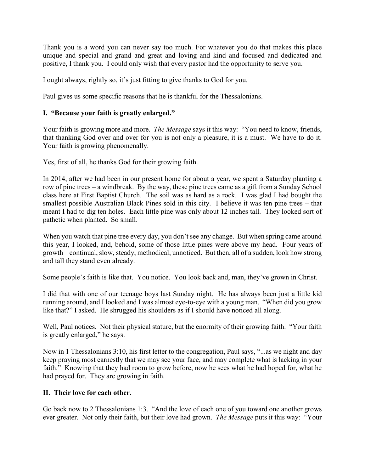Thank you is a word you can never say too much. For whatever you do that makes this place unique and special and grand and great and loving and kind and focused and dedicated and positive, I thank you. I could only wish that every pastor had the opportunity to serve you.

I ought always, rightly so, it's just fitting to give thanks to God for you.

Paul gives us some specific reasons that he is thankful for the Thessalonians.

# **I. "Because your faith is greatly enlarged."**

Your faith is growing more and more. *The Message* says it this way: "You need to know, friends, that thanking God over and over for you is not only a pleasure, it is a must. We have to do it. Your faith is growing phenomenally.

Yes, first of all, he thanks God for their growing faith.

In 2014, after we had been in our present home for about a year, we spent a Saturday planting a row of pine trees – a windbreak. By the way, these pine trees came as a gift from a Sunday School class here at First Baptist Church. The soil was as hard as a rock. I was glad I had bought the smallest possible Australian Black Pines sold in this city. I believe it was ten pine trees – that meant I had to dig ten holes. Each little pine was only about 12 inches tall. They looked sort of pathetic when planted. So small.

When you watch that pine tree every day, you don't see any change. But when spring came around this year, I looked, and, behold, some of those little pines were above my head. Four years of growth – continual, slow, steady, methodical, unnoticed. But then, all of a sudden, look how strong and tall they stand even already.

Some people's faith is like that. You notice. You look back and, man, they've grown in Christ.

I did that with one of our teenage boys last Sunday night. He has always been just a little kid running around, and I looked and I was almost eye-to-eye with a young man. "When did you grow like that?" I asked. He shrugged his shoulders as if I should have noticed all along.

Well, Paul notices. Not their physical stature, but the enormity of their growing faith. "Your faith is greatly enlarged," he says.

Now in 1 Thessalonians 3:10, his first letter to the congregation, Paul says, "...as we night and day keep praying most earnestly that we may see your face, and may complete what is lacking in your faith." Knowing that they had room to grow before, now he sees what he had hoped for, what he had prayed for. They are growing in faith.

### **II. Their love for each other.**

Go back now to 2 Thessalonians 1:3. "And the love of each one of you toward one another grows ever greater. Not only their faith, but their love had grown. *The Message* puts it this way: "Your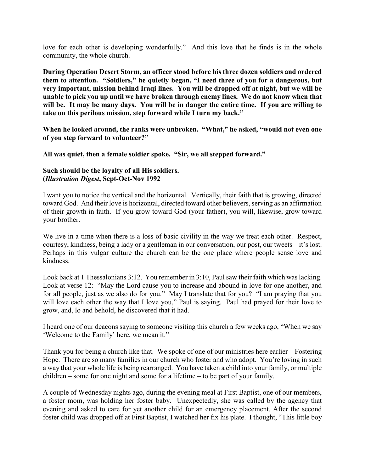love for each other is developing wonderfully." And this love that he finds is in the whole community, the whole church.

**During Operation Desert Storm, an officer stood before his three dozen soldiers and ordered them to attention. "Soldiers," he quietly began, "I need three of you for a dangerous, but very important, mission behind Iraqi lines. You will be dropped off at night, but we will be unable to pick you up until we have broken through enemy lines. We do not know when that will be. It may be many days. You will be in danger the entire time. If you are willing to take on this perilous mission, step forward while I turn my back."**

**When he looked around, the ranks were unbroken. "What," he asked, "would not even one of you step forward to volunteer?"**

**All was quiet, then a female soldier spoke. "Sir, we all stepped forward."**

### **Such should be the loyalty of all His soldiers. (***Illustration Digest***, Sept-Oct-Nov 1992**

I want you to notice the vertical and the horizontal. Vertically, their faith that is growing, directed toward God. And their love is horizontal, directed toward other believers, serving as an affirmation of their growth in faith. If you grow toward God (your father), you will, likewise, grow toward your brother.

We live in a time when there is a loss of basic civility in the way we treat each other. Respect, courtesy, kindness, being a lady or a gentleman in our conversation, our post, our tweets – it's lost. Perhaps in this vulgar culture the church can be the one place where people sense love and kindness.

Look back at 1 Thessalonians 3:12. You remember in 3:10, Paul saw their faith which was lacking. Look at verse 12: "May the Lord cause you to increase and abound in love for one another, and for all people, just as we also do for you." May I translate that for you? "I am praying that you will love each other the way that I love you," Paul is saying. Paul had prayed for their love to grow, and, lo and behold, he discovered that it had.

I heard one of our deacons saying to someone visiting this church a few weeks ago, "When we say 'Welcome to the Family' here, we mean it."

Thank you for being a church like that. We spoke of one of our ministries here earlier – Fostering Hope. There are so many families in our church who foster and who adopt. You're loving in such a way that your whole life is being rearranged. You have taken a child into your family, or multiple children – some for one night and some for a lifetime – to be part of your family.

A couple of Wednesday nights ago, during the evening meal at First Baptist, one of our members, a foster mom, was holding her foster baby. Unexpectedly, she was called by the agency that evening and asked to care for yet another child for an emergency placement. After the second foster child was dropped off at First Baptist, I watched her fix his plate. I thought, "This little boy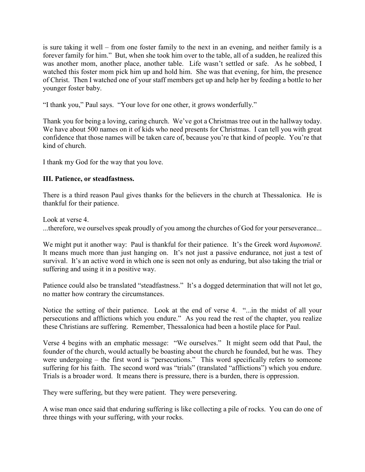is sure taking it well – from one foster family to the next in an evening, and neither family is a forever family for him." But, when she took him over to the table, all of a sudden, he realized this was another mom, another place, another table. Life wasn't settled or safe. As he sobbed, I watched this foster mom pick him up and hold him. She was that evening, for him, the presence of Christ. Then I watched one of your staff members get up and help her by feeding a bottle to her younger foster baby.

"I thank you," Paul says. "Your love for one other, it grows wonderfully."

Thank you for being a loving, caring church. We've got a Christmas tree out in the hallway today. We have about 500 names on it of kids who need presents for Christmas. I can tell you with great confidence that those names will be taken care of, because you're that kind of people. You're that kind of church.

I thank my God for the way that you love.

## **III. Patience, or steadfastness.**

There is a third reason Paul gives thanks for the believers in the church at Thessalonica. He is thankful for their patience.

Look at verse 4.

...therefore, we ourselves speak proudly of you among the churches of God for your perseverance...

We might put it another way: Paul is thankful for their patience. It's the Greek word *hupomonē*. It means much more than just hanging on. It's not just a passive endurance, not just a test of survival. It's an active word in which one is seen not only as enduring, but also taking the trial or suffering and using it in a positive way.

Patience could also be translated "steadfastness." It's a dogged determination that will not let go, no matter how contrary the circumstances.

Notice the setting of their patience. Look at the end of verse 4. "...in the midst of all your persecutions and afflictions which you endure." As you read the rest of the chapter, you realize these Christians are suffering. Remember, Thessalonica had been a hostile place for Paul.

Verse 4 begins with an emphatic message: "We ourselves." It might seem odd that Paul, the founder of the church, would actually be boasting about the church he founded, but he was. They were undergoing – the first word is "persecutions." This word specifically refers to someone suffering for his faith. The second word was "trials" (translated "afflictions") which you endure. Trials is a broader word. It means there is pressure, there is a burden, there is oppression.

They were suffering, but they were patient. They were persevering.

A wise man once said that enduring suffering is like collecting a pile of rocks. You can do one of three things with your suffering, with your rocks.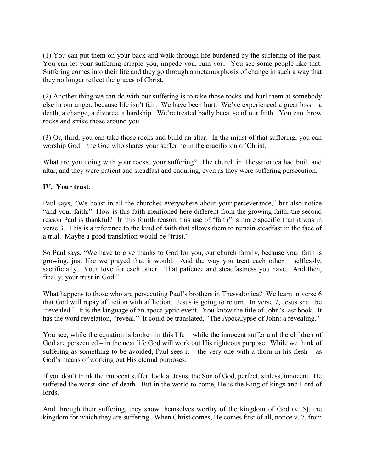(1) You can put them on your back and walk through life burdened by the suffering of the past. You can let your suffering cripple you, impede you, ruin you. You see some people like that. Suffering comes into their life and they go through a metamorphosis of change in such a way that they no longer reflect the graces of Christ.

(2) Another thing we can do with our suffering is to take those rocks and hurl them at somebody else in our anger, because life isn't fair. We have been hurt. We've experienced a great loss – a death, a change, a divorce, a hardship. We're treated badly because of our faith. You can throw rocks and strike those around you.

(3) Or, third, you can take those rocks and build an altar. In the midst of that suffering, you can worship God – the God who shares your suffering in the crucifixion of Christ.

What are you doing with your rocks, your suffering? The church in Thessalonica had built and altar, and they were patient and steadfast and enduring, even as they were suffering persecution.

### **IV. Your trust.**

Paul says, "We boast in all the churches everywhere about your perseverance," but also notice "and your faith." How is this faith mentioned here different from the growing faith, the second reason Paul is thankful? In this fourth reason, this use of "faith" is more specific than it was in verse 3. This is a reference to the kind of faith that allows them to remain steadfast in the face of a trial. Maybe a good translation would be "trust."

So Paul says, "We have to give thanks to God for you, our church family, because your faith is growing, just like we prayed that it would. And the way you treat each other – selflessly, sacrificially. Your love for each other. That patience and steadfastness you have. And then, finally, your trust in God."

What happens to those who are persecuting Paul's brothers in Thessalonica? We learn in verse 6 that God will repay affliction with affliction. Jesus is going to return. In verse 7, Jesus shall be "revealed." It is the language of an apocalyptic event. You know the title of John's last book. It has the word revelation, "reveal." It could be translated, "The Apocalypse of John: a revealing."

You see, while the equation is broken in this life – while the innocent suffer and the children of God are persecuted – in the next life God will work out His righteous purpose. While we think of suffering as something to be avoided, Paul sees it – the very one with a thorn in his flesh – as God's means of working out His eternal purposes.

If you don't think the innocent suffer, look at Jesus, the Son of God, perfect, sinless, innocent. He suffered the worst kind of death. But in the world to come, He is the King of kings and Lord of lords.

And through their suffering, they show themselves worthy of the kingdom of God (v. 5), the kingdom for which they are suffering. When Christ comes, He comes first of all, notice v. 7, from